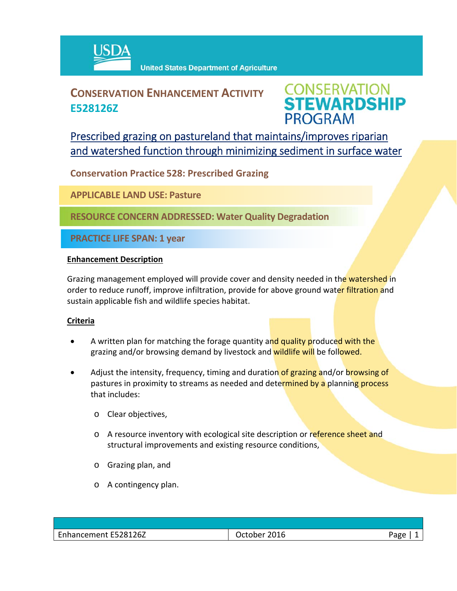

## **CONSERVATION ENHANCEMENT ACTIVITY E528126Z**



Prescribed grazing on pastureland that maintains/improves riparian and watershed function through minimizing sediment in surface water

**Conservation Practice 528: Prescribed Grazing**

**APPLICABLE LAND USE: Pasture**

**RESOURCE CONCERN ADDRESSED: Water Quality Degradation**

**PRACTICE LIFE SPAN: 1 year**

## **Enhancement Description**

Grazing management employed will provide cover and density needed in the watershed in order to reduce runoff, improve infiltration, provide for above ground water filtration and sustain applicable fish and wildlife species habitat.

## **Criteria**

- A written plan for matching the forage quantity and quality produced with the grazing and/or browsing demand by livestock and wildlife will be followed.
- Adjust the intensity, frequency, timing and duration of grazing and/or browsing of pastures in proximity to streams as needed and determined by a planning process that includes:
	- o Clear objectives,
	- o A resource inventory with ecological site description or reference sheet and structural improvements and existing resource conditions,
	- o Grazing plan, and
	- o A contingency plan.

| Enhancement E528126Z | 2016<br>October | Page |
|----------------------|-----------------|------|